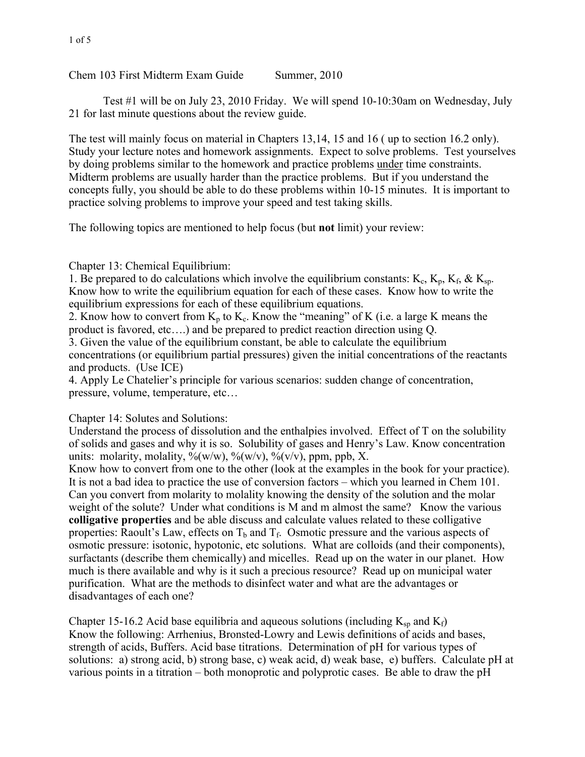Chem 103 First Midterm Exam Guide Summer, 2010

Test #1 will be on July 23, 2010 Friday. We will spend 10-10:30am on Wednesday, July 21 for last minute questions about the review guide.

The test will mainly focus on material in Chapters 13,14, 15 and 16 ( up to section 16.2 only). Study your lecture notes and homework assignments. Expect to solve problems. Test yourselves by doing problems similar to the homework and practice problems under time constraints. Midterm problems are usually harder than the practice problems. But if you understand the concepts fully, you should be able to do these problems within 10-15 minutes. It is important to practice solving problems to improve your speed and test taking skills.

The following topics are mentioned to help focus (but **not** limit) your review:

Chapter 13: Chemical Equilibrium:

1. Be prepared to do calculations which involve the equilibrium constants:  $K_c$ ,  $K_p$ ,  $K_f$ ,  $\& K_{sp}$ . Know how to write the equilibrium equation for each of these cases. Know how to write the equilibrium expressions for each of these equilibrium equations.

2. Know how to convert from  $K_p$  to  $K_c$ . Know the "meaning" of K (i.e. a large K means the product is favored, etc….) and be prepared to predict reaction direction using Q.

3. Given the value of the equilibrium constant, be able to calculate the equilibrium concentrations (or equilibrium partial pressures) given the initial concentrations of the reactants and products. (Use ICE)

4. Apply Le Chatelier's principle for various scenarios: sudden change of concentration, pressure, volume, temperature, etc…

Chapter 14: Solutes and Solutions:

Understand the process of dissolution and the enthalpies involved. Effect of T on the solubility of solids and gases and why it is so. Solubility of gases and Henry's Law. Know concentration units: molarity, molality,  $\frac{\%(w)}{w}$ ,  $\frac{\%(w)}{v}$ ,  $\frac{\%(v)}{v}$ , ppm, ppb, X.

Know how to convert from one to the other (look at the examples in the book for your practice). It is not a bad idea to practice the use of conversion factors – which you learned in Chem 101. Can you convert from molarity to molality knowing the density of the solution and the molar weight of the solute? Under what conditions is M and m almost the same? Know the various **colligative properties** and be able discuss and calculate values related to these colligative properties: Raoult's Law, effects on  $T_b$  and  $T_f$ . Osmotic pressure and the various aspects of osmotic pressure: isotonic, hypotonic, etc solutions. What are colloids (and their components), surfactants (describe them chemically) and micelles. Read up on the water in our planet. How much is there available and why is it such a precious resource? Read up on municipal water purification. What are the methods to disinfect water and what are the advantages or disadvantages of each one?

Chapter 15-16.2 Acid base equilibria and aqueous solutions (including  $K_{\text{sp}}$  and  $K_{\text{f}}$ ) Know the following: Arrhenius, Bronsted-Lowry and Lewis definitions of acids and bases, strength of acids, Buffers. Acid base titrations. Determination of pH for various types of solutions: a) strong acid, b) strong base, c) weak acid, d) weak base, e) buffers. Calculate pH at various points in a titration – both monoprotic and polyprotic cases. Be able to draw the pH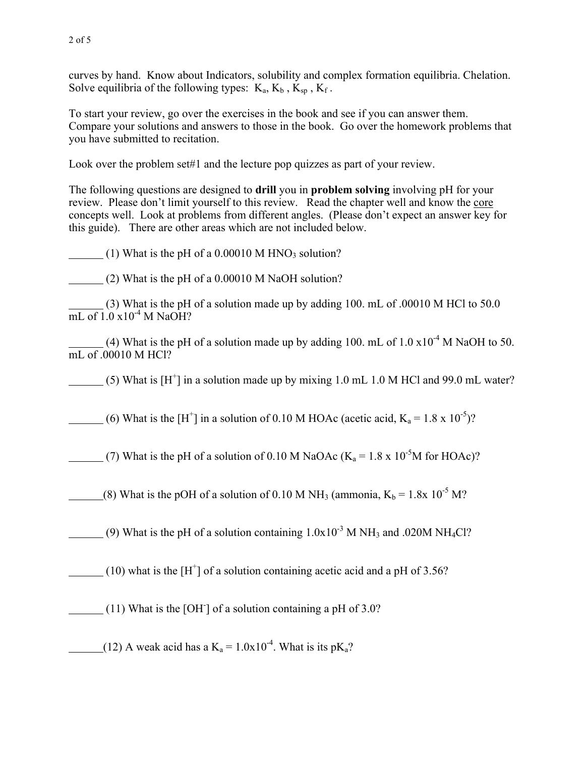curves by hand. Know about Indicators, solubility and complex formation equilibria. Chelation. Solve equilibria of the following types:  $K_a$ ,  $K_b$ ,  $K_{\text{sn}}$ ,  $K_f$ .

To start your review, go over the exercises in the book and see if you can answer them. Compare your solutions and answers to those in the book. Go over the homework problems that you have submitted to recitation.

Look over the problem set#1 and the lecture pop quizzes as part of your review.

The following questions are designed to **drill** you in **problem solving** involving pH for your review. Please don't limit yourself to this review. Read the chapter well and know the core concepts well. Look at problems from different angles. (Please don't expect an answer key for this guide). There are other areas which are not included below.

(1) What is the pH of a  $0.00010$  M HNO<sub>3</sub> solution?

(2) What is the pH of a 0.00010 M NaOH solution?

 (3) What is the pH of a solution made up by adding 100. mL of .00010 M HCl to 50.0  $\overline{\text{mL of 1.0}} \times 10^{-4} \text{M NaOH?}$ 

(4) What is the pH of a solution made up by adding 100. mL of  $1.0 \times 10^{-4}$  M NaOH to 50. mL of .00010 M HCl?

(5) What is  $[H^+]$  in a solution made up by mixing 1.0 mL 1.0 M HCl and 99.0 mL water?

(6) What is the [H<sup>+</sup>] in a solution of 0.10 M HOAc (acetic acid,  $K_a = 1.8 \times 10^{-5}$ )?

(7) What is the pH of a solution of 0.10 M NaOAc ( $K_a = 1.8 \times 10^{-5}$ M for HOAc)?

(8) What is the pOH of a solution of 0.10 M NH<sub>3</sub> (ammonia,  $K_b = 1.8x \times 10^{-5}$  M?

(9) What is the pH of a solution containing  $1.0x10^{-3}$  M NH<sub>3</sub> and .020M NH<sub>4</sub>Cl?

(10) what is the  $[H^+]$  of a solution containing acetic acid and a pH of 3.56?

(11) What is the [OH- ] of a solution containing a pH of 3.0?

(12) A weak acid has a  $K_a = 1.0x10^{-4}$ . What is its p $K_a$ ?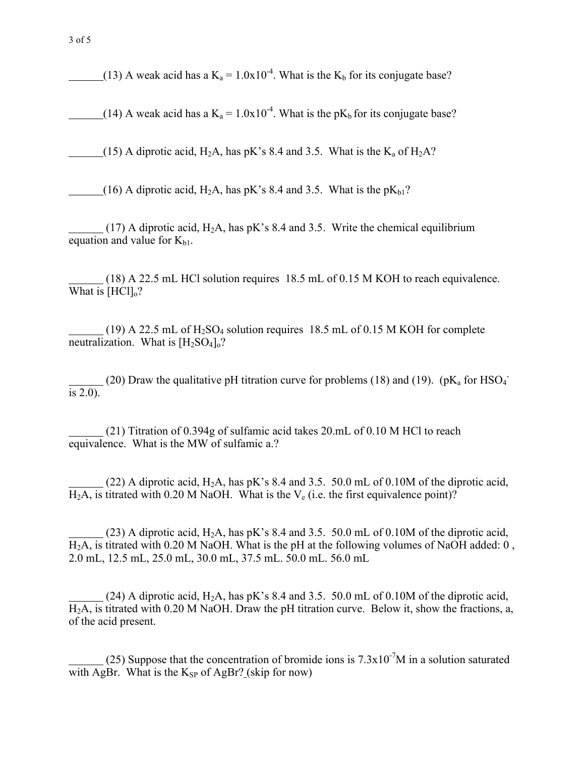(13) A weak acid has a  $K_a = 1.0x10^{-4}$ . What is the  $K_b$  for its conjugate base?

(14) A weak acid has a  $K_a = 1.0x10^{-4}$ . What is the p $K_b$  for its conjugate base?

(15) A diprotic acid,  $H_2A$ , has pK's 8.4 and 3.5. What is the  $K_a$  of  $H_2A$ ?

(16) A diprotic acid, H<sub>2</sub>A, has pK's 8.4 and 3.5. What is the pK<sub>b1</sub>?

 $(17)$  A diprotic acid, H<sub>2</sub>A, has pK's 8.4 and 3.5. Write the chemical equilibrium equation and value for  $K_{b1}$ .

 (18) A 22.5 mL HCl solution requires 18.5 mL of 0.15 M KOH to reach equivalence. What is  $[HCl]_0$ ?

(19) A 22.5 mL of  $H_2SO_4$  solution requires 18.5 mL of 0.15 M KOH for complete neutralization. What is  $[H_2SO_4]_0$ ?

(20) Draw the qualitative pH titration curve for problems (18) and (19).  $(pK_a \text{ for HSO}_4^-)$ is  $2.0$ ).

 (21) Titration of 0.394g of sulfamic acid takes 20.mL of 0.10 M HCl to reach equivalence. What is the MW of sulfamic a.?

(22) A diprotic acid,  $H_2A$ , has pK's 8.4 and 3.5. 50.0 mL of 0.10M of the diprotic acid,  $H_2A$ , is titrated with 0.20 M NaOH. What is the  $V_e$  (i.e. the first equivalence point)?

(23) A diprotic acid,  $H_2A$ , has pK's 8.4 and 3.5. 50.0 mL of 0.10M of the diprotic acid,  $H<sub>2</sub>A$ , is titrated with 0.20 M NaOH. What is the pH at the following volumes of NaOH added: 0, 2.0 mL, 12.5 mL, 25.0 mL, 30.0 mL, 37.5 mL. 50.0 mL. 56.0 mL

 $(24)$  A diprotic acid, H<sub>2</sub>A, has pK's 8.4 and 3.5. 50.0 mL of 0.10M of the diprotic acid, H2A, is titrated with 0.20 M NaOH. Draw the pH titration curve. Below it, show the fractions, a, of the acid present.

(25) Suppose that the concentration of bromide ions is  $7.3 \times 10^{-7}$ M in a solution saturated with AgBr. What is the  $K_{SP}$  of AgBr? (skip for now)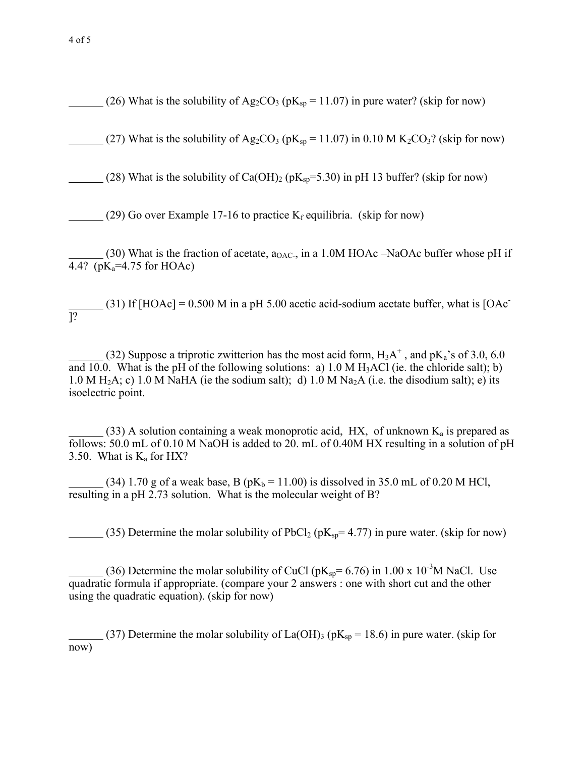(26) What is the solubility of Ag<sub>2</sub>CO<sub>3</sub> ( $pK_{sp} = 11.07$ ) in pure water? (skip for now)

(27) What is the solubility of Ag<sub>2</sub>CO<sub>3</sub> (pK<sub>sp</sub> = 11.07) in 0.10 M K<sub>2</sub>CO<sub>3</sub>? (skip for now)

(28) What is the solubility of Ca(OH)<sub>2</sub> ( $pK_{sp}$ =5.30) in pH 13 buffer? (skip for now)

(29) Go over Example 17-16 to practice  $K_f$  equilibria. (skip for now)

 $(30)$  What is the fraction of acetate,  $a_{OAC}$ , in a 1.0M HOAc –NaOAc buffer whose pH if 4.4? ( $pK_a = 4.75$  for HOAc)

 $(31)$  If [HOAc] = 0.500 M in a pH 5.00 acetic acid-sodium acetate buffer, what is [OAc] ]?

(32) Suppose a triprotic zwitterion has the most acid form,  $H_3A^+$ , and  $pK_a$ 's of 3.0, 6.0 and 10.0. What is the pH of the following solutions: a) 1.0 M  $H_3AC$  (ie. the chloride salt); b) 1.0 M H<sub>2</sub>A; c) 1.0 M NaHA (ie the sodium salt); d) 1.0 M Na<sub>2</sub>A (i.e. the disodium salt); e) its isoelectric point.

(33) A solution containing a weak monoprotic acid, HX, of unknown  $K_a$  is prepared as follows: 50.0 mL of 0.10 M NaOH is added to 20. mL of 0.40M HX resulting in a solution of pH 3.50. What is  $K_a$  for HX?

(34) 1.70 g of a weak base, B ( $pK_b = 11.00$ ) is dissolved in 35.0 mL of 0.20 M HCl, resulting in a pH 2.73 solution. What is the molecular weight of B?

(35) Determine the molar solubility of PbCl<sub>2</sub> ( $pK_{sp}$  = 4.77) in pure water. (skip for now)

(36) Determine the molar solubility of CuCl ( $pK_{sp} = 6.76$ ) in 1.00 x 10<sup>-3</sup>M NaCl. Use quadratic formula if appropriate. (compare your 2 answers : one with short cut and the other using the quadratic equation). (skip for now)

(37) Determine the molar solubility of La(OH)<sub>3</sub> ( $pK_{sp}$  = 18.6) in pure water. (skip for now)